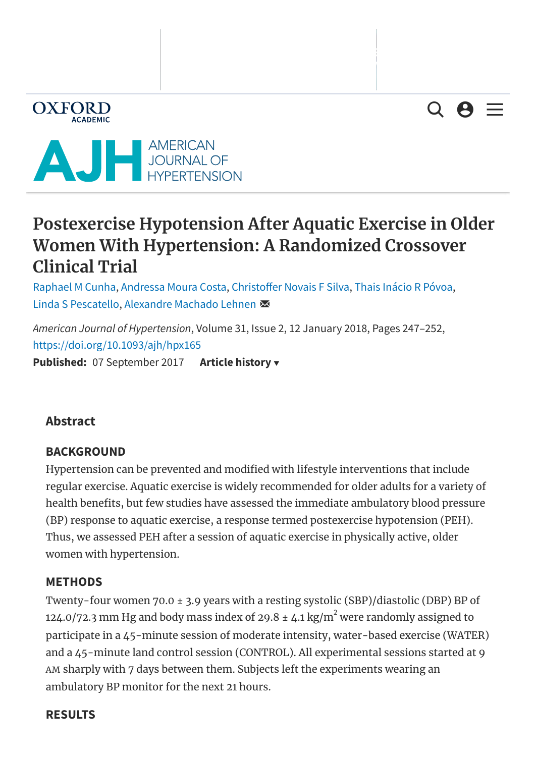$Q \Theta \equiv$ 



**OXFORD** 

# <span id="page-0-0"></span>**Postexercise Hypotension After Aquatic Exercise in Older Women With Hypertension: A Randomized Crossover Clinical Trial**

[Raphael](javascript:;) M Cunha, [Andressa](javascript:;) Moura Costa, Christoffer Novais F Silva, Thais Inácio R [Póvoa,](javascript:;) Linda S [Pescatello,](javascript:;) [Alexandre](javascript:;) Machado Lehnen

*American Journal of Hypertension*, Volume 31, Issue 2, 12 January 2018, Pages 247–252, <https://doi.org/10.1093/ajh/hpx165> **Published:** 07 September 2017 **Article history**

### **Abstract**

### **BACKGROUND**

Hypertension can be prevented and modified with lifestyle interventions that include regular exercise. Aquatic exercise is widely recommended for older adults for a variety of health benefits, but few studies have assessed the immediate ambulatory blood pressure (BP) response to aquatic exercise, a response termed postexercise hypotension (PEH). Thus, we assessed PEH after a session of aquatic exercise in physically active, older women with hypertension.

### **METHODS**

Skip to Main Content<br>Skip to Main Content<br>Skip to Main Content of Main Content of Main Content of Main Content of Main Content of Main Content of Main C Twenty-four women 70.0 ± 3.9 years with a resting systolic (SBP)/diastolic (DBP) BP of 124.0/72.3 mm Hg and body mass index of 29.8  $\pm$  4.1 kg/m $^2$  were randomly assigned to participate in a 45-minute session of moderate intensity, water-based exercise (WATER) and a 45-minute land control session (CONTROL). All experimental sessions started at 9 AM sharply with 7 days between them. Subjects left the experiments wearing an [ambulatory](#page-0-0) BP monitor for the next 21 hours.

#### **RESULTS**